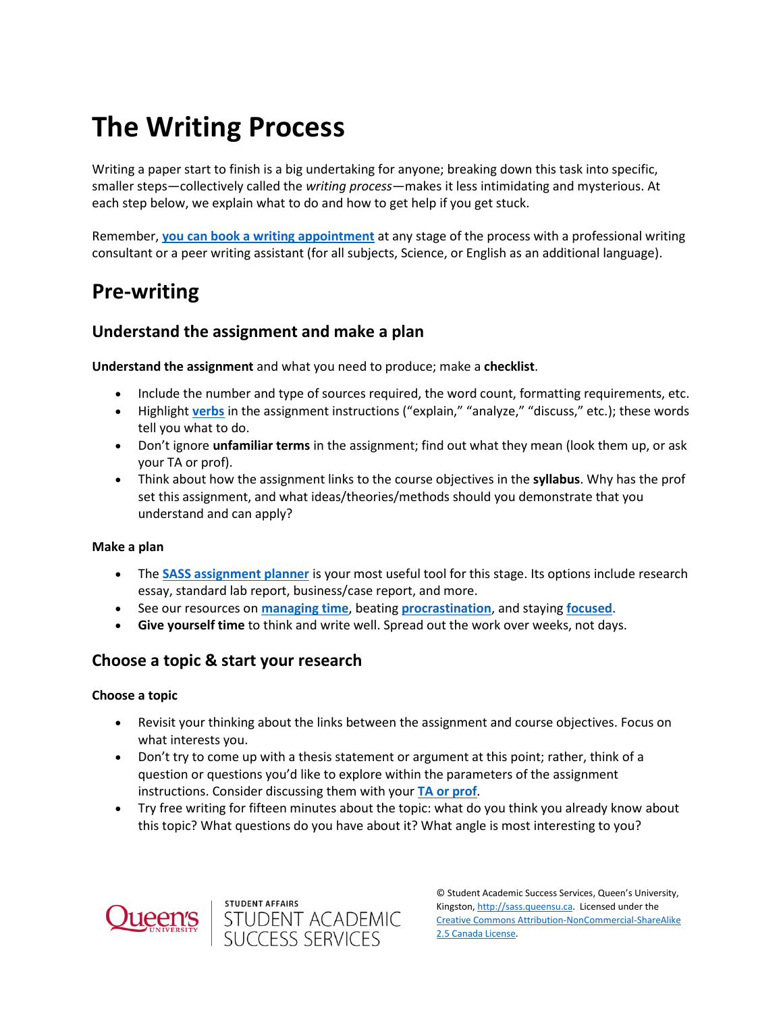# **The Writing Process**

Writing a paper start to finish is a big undertaking for anyone; breaking down this task into specific, smaller steps—collectively called the *writing process*—makes it less intimidating and mysterious. At each step below, we explain what to do and how to get help if you get stuck.

Remember, **[you can book a writing appointment](https://wp3-dev.its.queensu.ca/ha/sasswww/academic-support/appointments)** at any stage of the process with a professional writing consultant or a peer writing assistant (for all subjects, Science, or English as an additional language).

### **Pre-writing**

### **Understand the assignment and make a plan**

**Understand the assignment** and what you need to produce; make a **checklist**.

- Include the number and type of sources required, the word count, formatting requirements, etc.
- Highlight **[verbs](https://wp3-dev.its.queensu.ca/ha/sasswww/resources/common-assignment-terminology)** in the assignment instructions ("explain," "analyze," "discuss," etc.); these words tell you what to do.
- Don't ignore **unfamiliar terms** in the assignment; find out what they mean (look them up, or ask your TA or prof).
- Think about how the assignment links to the course objectives in the **syllabus**. Why has the prof set this assignment, and what ideas/theories/methods should you demonstrate that you understand and can apply?

#### **Make a plan**

- The **[SASS assignment planner](https://wp3-dev.its.queensu.ca/ha/sasswww/assignments)** is your most useful tool for this stage. Its options include research essay, standard lab report, business/case report, and more.
- See our resources on **[managing time](https://wp3-dev.its.queensu.ca/ha/sasswww/resources/managing-your-time-university)**, beating **[procrastination](https://wp3-dev.its.queensu.ca/ha/sasswww/resources/motivation-and-procrastination)**, and staying **[focused](https://wp3-dev.its.queensu.ca/ha/sasswww/resources/focus-and-concentration)**.
- **Give yourself time** to think and write well. Spread out the work over weeks, not days.

### **Choose a topic & start your research**

### **Choose a topic**

- Revisit your thinking about the links between the assignment and course objectives. Focus on what interests you.
- Don't try to come up with a thesis statement or argument at this point; rather, think of a question or questions you'd like to explore within the parameters of the assignment instructions. Consider discussing them with your **[TA or prof](https://wp3-dev.its.queensu.ca/ha/sasswww/resources/communicating-profs-and-tas)**.
- Try free writing for fifteen minutes about the topic: what do you think you already know about this topic? What questions do you have about it? What angle is most interesting to you?





© Student Academic Success Services, Queen's University, Kingston[, http://sass.queensu.ca.](http://sass.queensu.ca/) Licensed under the [Creative Commons Attribution-NonCommercial-ShareAlike](http://creativecommons.org/licenses/by-nc-sa/2.5/ca/)  [2.5 Canada License.](http://creativecommons.org/licenses/by-nc-sa/2.5/ca/)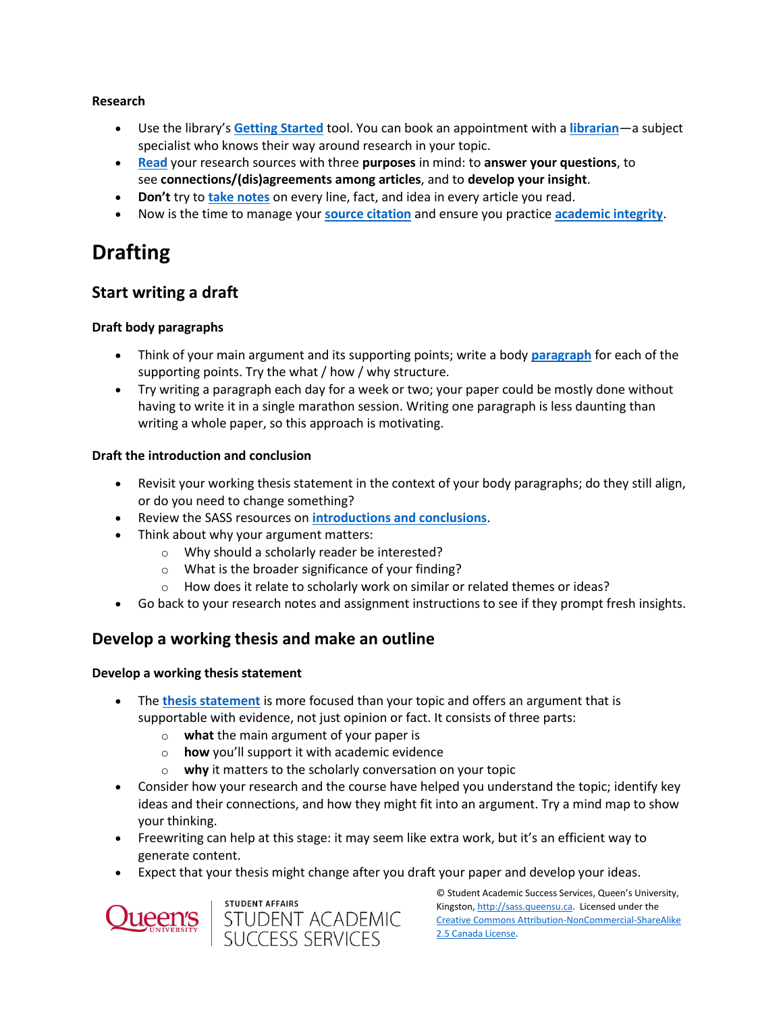#### **Research**

- Use the library's **[Getting Started](https://www.library.queensu.ca/help-services/getting-started)** tool. You can book an appointment with a **[librarian](https://www.library.queensu.ca/help-services/ask-us)**—a subject specialist who knows their way around research in your topic.
- **[Read](https://wp3-dev.its.queensu.ca/ha/sasswww/resources/reading)** your research sources with three **purposes** in mind: to **answer your questions**, to see **connections/(dis)agreements among articles**, and to **develop your insight**.
- **Don't** try to **[take notes](https://wp3-dev.its.queensu.ca/ha/sasswww/resources/note-taking)** on every line, fact, and idea in every article you read.
- Now is the time to manage your **[source citation](https://guides.library.queensu.ca/citing-and-citation-managers/citation-managers)** and ensure you practice **[academic integrity](https://wp3-dev.its.queensu.ca/ha/sasswww/resources/academic-integrity)**.

## **Drafting**

### **Start writing a draft**

### **Draft body paragraphs**

- Think of your main argument and its supporting points; write a body **[paragraph](https://wp3-dev.its.queensu.ca/ha/sasswww/resources/paragraph-structure-and-coherence)** for each of the supporting points. Try the what / how / why structure.
- Try writing a paragraph each day for a week or two; your paper could be mostly done without having to write it in a single marathon session. Writing one paragraph is less daunting than writing a whole paper, so this approach is motivating.

### **Draft the introduction and conclusion**

- Revisit your working thesis statement in the context of your body paragraphs; do they still align, or do you need to change something?
- Review the SASS resources on **[introductions and conclusions](https://wp3-dev.its.queensu.ca/ha/sasswww/resources/introductions-and-conclusions)**.
- Think about why your argument matters:
	- o Why should a scholarly reader be interested?
	- o What is the broader significance of your finding?
	- $\circ$  How does it relate to scholarly work on similar or related themes or ideas?
- Go back to your research notes and assignment instructions to see if they prompt fresh insights.

### **Develop a working thesis and make an outline**

### **Develop a working thesis statement**

- The **[thesis statement](https://wp3-dev.its.queensu.ca/ha/sasswww/resources/thesis-statements)** is more focused than your topic and offers an argument that is supportable with evidence, not just opinion or fact. It consists of three parts:
	- o **what** the main argument of your paper is
	- o **how** you'll support it with academic evidence
	- o **why** it matters to the scholarly conversation on your topic
- Consider how your research and the course have helped you understand the topic; identify key ideas and their connections, and how they might fit into an argument. Try a mind map to show your thinking.
- Freewriting can help at this stage: it may seem like extra work, but it's an efficient way to generate content.
- Expect that your thesis might change after you draft your paper and develop your ideas.





© Student Academic Success Services, Queen's University, Kingston[, http://sass.queensu.ca.](http://sass.queensu.ca/) Licensed under the [Creative Commons Attribution-NonCommercial-ShareAlike](http://creativecommons.org/licenses/by-nc-sa/2.5/ca/)  [2.5 Canada License.](http://creativecommons.org/licenses/by-nc-sa/2.5/ca/)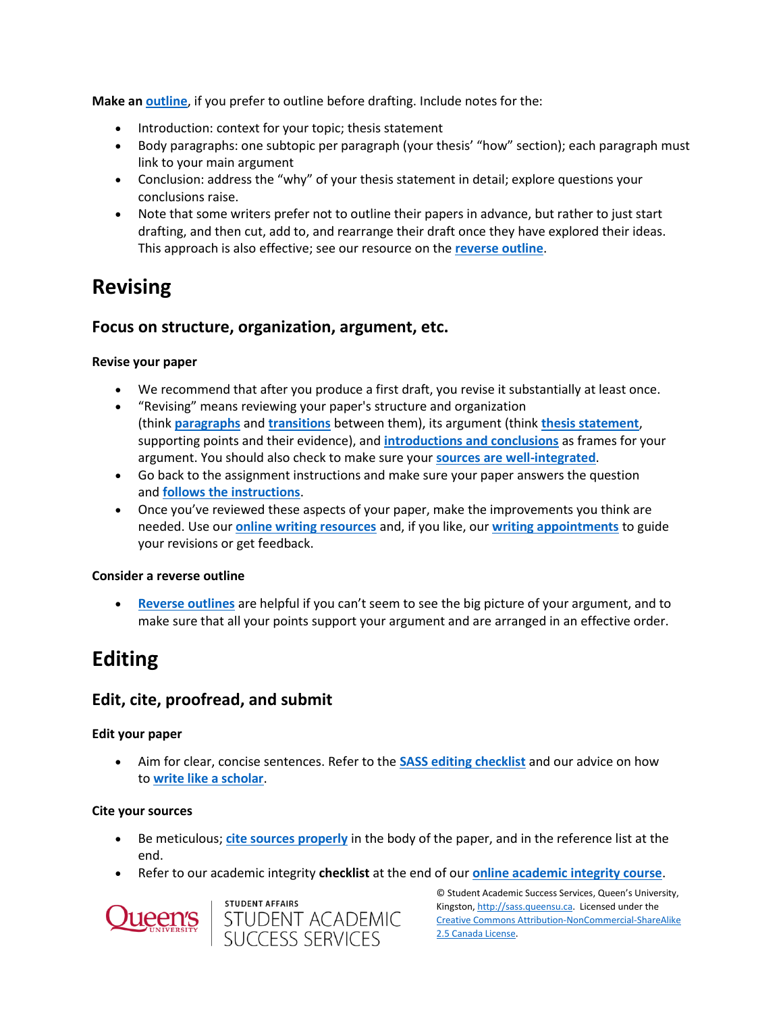**Make an [outline](https://wp3-dev.its.queensu.ca/ha/sasswww/resources/outlines)**, if you prefer to outline before drafting. Include notes for the:

- Introduction: context for your topic; thesis statement
- Body paragraphs: one subtopic per paragraph (your thesis' "how" section); each paragraph must link to your main argument
- Conclusion: address the "why" of your thesis statement in detail; explore questions your conclusions raise.
- Note that some writers prefer not to outline their papers in advance, but rather to just start drafting, and then cut, add to, and rearrange their draft once they have explored their ideas. This approach is also effective; see our resource on the **[reverse outline](https://wp3-dev.its.queensu.ca/ha/sasswww/resources/reverse-outline)**.

### **Revising**

### **Focus on structure, organization, argument, etc.**

### **Revise your paper**

- We recommend that after you produce a first draft, you revise it substantially at least once.
- "Revising" means reviewing your paper's structure and organization (think **[paragraphs](https://wp3-dev.its.queensu.ca/ha/sasswww/resources/paragraph-structure-and-coherence)** and **[transitions](https://wp3-dev.its.queensu.ca/ha/sasswww/resources/transitions)** between them), its argument (think **[thesis statement](https://wp3-dev.its.queensu.ca/ha/sasswww/resources/thesis-statements)**, supporting points and their evidence), and **introductions [and conclusions](https://wp3-dev.its.queensu.ca/ha/sasswww/resources/introductions-and-conclusions)** as frames for your argument. You should also check to make sure your **[sources are well-integrated](https://wp3-dev.its.queensu.ca/ha/sasswww/resources/integrating-sources)**.
- Go back to the assignment instructions and make sure your paper answers the question and **[follows the instructions](https://wp3-dev.its.queensu.ca/ha/sasswww/resources/common-assignment-terminology)**.
- Once you've reviewed these aspects of your paper, make the improvements you think are needed. Use our **[online writing resources](https://wp3-dev.its.queensu.ca/ha/sasswww/resources)** and, if you like, our **[writing appointments](https://wp3-dev.its.queensu.ca/ha/sasswww/academic-support/appointments)** to guide your revisions or get feedback.

### **Consider a reverse outline**

 **[Reverse outlines](https://wp3-dev.its.queensu.ca/ha/sasswww/resources/reverse-outline)** are helpful if you can't seem to see the big picture of your argument, and to make sure that all your points support your argument and are arranged in an effective order.

### **Editing**

### **Edit, cite, proofread, and submit**

### **Edit your paper**

 Aim for clear, concise sentences. Refer to the **[SASS editing checklist](https://wp3-dev.its.queensu.ca/ha/sasswww/resources/self-editing-checklist)** and our advice on how to **[write like a scholar](https://wp3-dev.its.queensu.ca/ha/sasswww/resources/write-scholar)**.

### **Cite your sources**

- Be meticulous; **[cite sources properly](https://wp3-dev.its.queensu.ca/ha/sasswww/resources/avoiding-plagiarism)** in the body of the paper, and in the reference list at the end.
- Refer to our academic integrity **checklist** at the end of our **[online academic integrity course](https://sass.queensu.ca/courses/academic-integrity/#/)**.





© Student Academic Success Services, Queen's University, Kingston[, http://sass.queensu.ca.](http://sass.queensu.ca/) Licensed under the [Creative Commons Attribution-NonCommercial-ShareAlike](http://creativecommons.org/licenses/by-nc-sa/2.5/ca/)  [2.5 Canada License.](http://creativecommons.org/licenses/by-nc-sa/2.5/ca/)